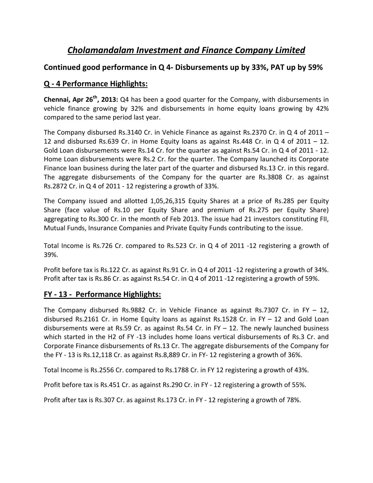# *Cholamandalam Investment and Finance Company Limited*

# **Continued good performance in Q 4‐ Disbursements up by 33%, PAT up by 59%**

# **Q ‐ 4 Performance Highlights:**

**Chennai, Apr 26th, 2013:** Q4 has been a good quarter for the Company, with disbursements in vehicle finance growing by 32% and disbursements in home equity loans growing by 42% compared to the same period last year.

The Company disbursed Rs.3140 Cr. in Vehicle Finance as against Rs.2370 Cr. in Q 4 of 2011 – 12 and disbursed Rs.639 Cr. in Home Equity loans as against Rs.448 Cr. in Q 4 of 2011 – 12. Gold Loan disbursements were Rs.14 Cr. for the quarter as against Rs.54 Cr. in Q 4 of 2011 - 12. Home Loan disbursements were Rs.2 Cr. for the quarter. The Company launched its Corporate Finance loan business during the later part of the quarter and disbursed Rs.13 Cr. in this regard. The aggregate disbursements of the Company for the quarter are Rs.3808 Cr. as against Rs.2872 Cr. in Q 4 of 2011 ‐ 12 registering a growth of 33%.

The Company issued and allotted 1,05,26,315 Equity Shares at a price of Rs.285 per Equity Share (face value of Rs.10 per Equity Share and premium of Rs.275 per Equity Share) aggregating to Rs.300 Cr. in the month of Feb 2013. The issue had 21 investors constituting FII, Mutual Funds, Insurance Companies and Private Equity Funds contributing to the issue.

Total Income is Rs.726 Cr. compared to Rs.523 Cr. in Q 4 of 2011 ‐12 registering a growth of 39%.

Profit before tax is Rs.122 Cr. as against Rs.91 Cr. in Q 4 of 2011 ‐12 registering a growth of 34%. Profit after tax is Rs.86 Cr. as against Rs.54 Cr. in Q 4 of 2011 -12 registering a growth of 59%.

## **FY ‐ 13 ‐ Performance Highlights:**

The Company disbursed Rs.9882 Cr. in Vehicle Finance as against Rs.7307 Cr. in FY  $-12$ , disbursed Rs.2161 Cr. in Home Equity loans as against Rs.1528 Cr. in FY  $-$  12 and Gold Loan disbursements were at Rs.59 Cr. as against Rs.54 Cr. in FY  $-$  12. The newly launched business which started in the H2 of FY -13 includes home loans vertical disbursements of Rs.3 Cr. and Corporate Finance disbursements of Rs.13 Cr. The aggregate disbursements of the Company for the FY ‐ 13 is Rs.12,118 Cr. as against Rs.8,889 Cr. in FY‐ 12 registering a growth of 36%.

Total Income is Rs.2556 Cr. compared to Rs.1788 Cr. in FY 12 registering a growth of 43%.

Profit before tax is Rs.451 Cr. as against Rs.290 Cr. in FY ‐ 12 registering a growth of 55%.

Profit after tax is Rs.307 Cr. as against Rs.173 Cr. in FY ‐ 12 registering a growth of 78%.